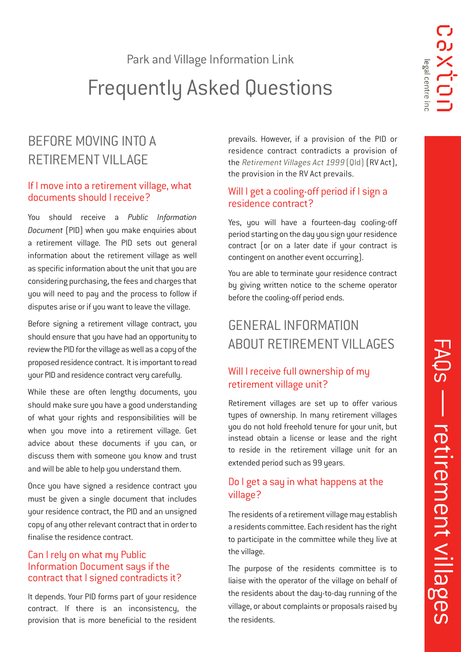Park and Village Information Link

# Frequently Asked Questions

# BEFORE MOVING INTO A RETIREMENT VILLAGE

### If I move into a retirement village, what documents should I receive?

You should receive a *Public Information Document* (PID) when you make enquiries about a retirement village. The PID sets out general information about the retirement village as well as specific information about the unit that you are considering purchasing, the fees and charges that you will need to pay and the process to follow if disputes arise or if you want to leave the village.

Before signing a retirement village contract, you should ensure that you have had an opportunity to review the PID for the village as well as a copy of the proposed residence contract. It is important to read your PID and residence contract very carefully.

While these are often lengthy documents, you should make sure you have a good understanding of what your rights and responsibilities will be when you move into a retirement village. Get advice about these documents if you can, or discuss them with someone you know and trust and will be able to help you understand them.

Once you have signed a residence contract you must be given a single document that includes your residence contract, the PID and an unsigned copy of any other relevant contract that in order to finalise the residence contract.

### Can I rely on what my Public Information Document says if the contract that I signed contradicts it?

It depends. Your PID forms part of your residence contract. If there is an inconsistency, the provision that is more beneficial to the resident

prevails. However, if a provision of the PID or residence contract contradicts a provision of the [Retirement Villages Act 1999](https://www.legislation.qld.gov.au/view/html/inforce/current/act-1999-071) (Qld) (RV Act), the provision in the RV Act prevails.

# Will I get a cooling-off period if I sign a residence contract?

Yes, you will have a fourteen-day cooling-off period starting on the day you sign your residence contract (or on a later date if your contract is contingent on another event occurring).

You are able to terminate your residence contract by giving written notice to the scheme operator before the cooling-off period ends.

# GENERAL INFORMATION ABOUT RETIREMENT VILLAGES

# Will I receive full ownership of my retirement village unit?

Retirement villages are set up to offer various types of ownership. In many retirement villages you do not hold freehold tenure for your unit, but instead obtain a license or lease and the right to reside in the retirement village unit for an extended period such as 99 years.

# Do I get a say in what happens at the village?

The residents of a retirement village may establish a residents committee. Each resident has the right to participate in the committee while they live at the village.

The purpose of the residents committee is to liaise with the operator of the village on behalf of the residents about the day-to-day running of the village, or about complaints or proposals raised by the residents.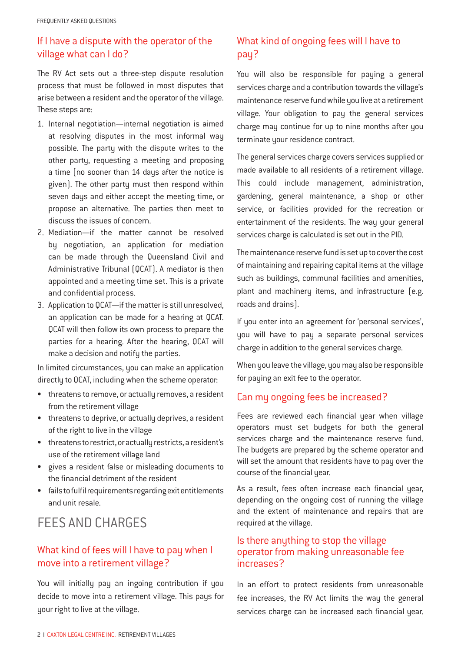# If I have a dispute with the operator of the village what can I do?

The RV Act sets out a three-step dispute resolution process that must be followed in most disputes that arise between a resident and the operator of the village. These steps are:

- 1. Internal negotiation—internal negotiation is aimed at resolving disputes in the most informal way possible. The party with the dispute writes to the other party, requesting a meeting and proposing a time (no sooner than 14 days after the notice is given). The other party must then respond within seven days and either accept the meeting time, or propose an alternative. The parties then meet to discuss the issues of concern.
- 2. Mediation—if the matter cannot be resolved by negotiation, an application for mediation can be made through the Queensland Civil and Administrative Tribunal (QCAT). A mediator is then appointed and a meeting time set. This is a private and confidential process.
- 3. Application to QCAT—if the matter is still unresolved, an application can be made for a hearing at QCAT. QCAT will then follow its own process to prepare the parties for a hearing. After the hearing, QCAT will make a decision and notify the parties.

In limited circumstances, you can make an application directly to QCAT, including when the scheme operator:

- threatens to remove, or actually removes, a resident from the retirement village
- threatens to deprive, or actually deprives, a resident of the right to live in the village
- threatens to restrict, or actually restricts, a resident's use of the retirement village land
- gives a resident false or misleading documents to the financial detriment of the resident
- fails to fulfil requirements regarding exit entitlements and unit resale.

# FEES AND CHARGES

# What kind of fees will I have to pay when I move into a retirement village?

You will initially pay an ingoing contribution if you decide to move into a retirement village. This pays for your right to live at the village.

# What kind of ongoing fees will I have to pay?

You will also be responsible for paying a general services charge and a contribution towards the village's maintenance reserve fund while you live at a retirement village. Your obligation to pay the general services charge may continue for up to nine months after you terminate your residence contract.

The general services charge covers services supplied or made available to all residents of a retirement village. This could include management, administration, gardening, general maintenance, a shop or other service, or facilities provided for the recreation or entertainment of the residents. The way your general services charge is calculated is set out in the PID.

The maintenance reserve fund is set up to cover the cost of maintaining and repairing capital items at the village such as buildings, communal facilities and amenities, plant and machinery items, and infrastructure (e.g. roads and drains).

If you enter into an agreement for 'personal services', you will have to pay a separate personal services charge in addition to the general services charge.

When you leave the village, you may also be responsible for paying an exit fee to the operator.

# Can my ongoing fees be increased?

Fees are reviewed each financial year when village operators must set budgets for both the general services charge and the maintenance reserve fund. The budgets are prepared by the scheme operator and will set the amount that residents have to pay over the course of the financial year.

As a result, fees often increase each financial year, depending on the ongoing cost of running the village and the extent of maintenance and repairs that are required at the village.

### Is there anything to stop the village operator from making unreasonable fee increases?

In an effort to protect residents from unreasonable fee increases, the RV Act limits the way the general services charge can be increased each financial year.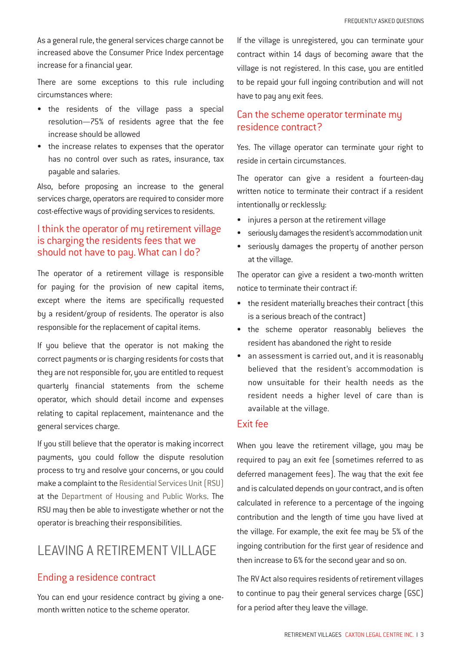As a general rule, the general services charge cannot be increased above the Consumer Price Index percentage increase for a financial year.

There are some exceptions to this rule including circumstances where:

- the residents of the village pass a special resolution—75% of residents agree that the fee increase should be allowed
- the increase relates to expenses that the operator has no control over such as rates, insurance, tax payable and salaries.

Also, before proposing an increase to the general services charge, operators are required to consider more cost-effective ways of providing services to residents.

## I think the operator of my retirement village is charging the residents fees that we should not have to pay. What can I do?

The operator of a retirement village is responsible for paying for the provision of new capital items, except where the items are specifically requested by a resident/group of residents. The operator is also responsible for the replacement of capital items.

If you believe that the operator is not making the correct payments or is charging residents for costs that they are not responsible for, you are entitled to request quarterly financial statements from the scheme operator, which should detail income and expenses relating to capital replacement, maintenance and the general services charge.

If you still believe that the operator is making incorrect payments, you could follow the dispute resolution process to try and resolve your concerns, or you could make a complaint to the [Residential Services Unit \(RSU\)](http://www.hpw.qld.gov.au/Housing/IndustryRegulation/ResidentialServices/Pages/default.aspx) at the [Department of Housing and Public Works](http://www.hpw.qld.gov.au/Pages/home.aspx). The RSU may then be able to investigate whether or not the operator is breaching their responsibilities.

# LEAVING A RETIREMENT VILLAGE

### Ending a residence contract

You can end your residence contract by giving a onemonth written notice to the scheme operator.

If the village is unregistered, you can terminate your contract within 14 days of becoming aware that the village is not registered. In this case, you are entitled to be repaid your full ingoing contribution and will not have to pay any exit fees.

## Can the scheme operator terminate my residence contract?

Yes. The village operator can terminate your right to reside in certain circumstances.

The operator can give a resident a fourteen-day written notice to terminate their contract if a resident intentionally or recklessly:

- injures a person at the retirement village
- seriously damages the resident's accommodation unit
- seriously damages the property of another person at the village.

The operator can give a resident a two-month written notice to terminate their contract if:

- the resident materially breaches their contract (this is a serious breach of the contract)
- the scheme operator reasonably believes the resident has abandoned the right to reside
- an assessment is carried out, and it is reasonably believed that the resident's accommodation is now unsuitable for their health needs as the resident needs a higher level of care than is available at the village.

#### Exit fee

When you leave the retirement village, you may be required to pay an exit fee (sometimes referred to as deferred management fees). The way that the exit fee and is calculated depends on your contract, and is often calculated in reference to a percentage of the ingoing contribution and the length of time you have lived at the village. For example, the exit fee may be 5% of the ingoing contribution for the first year of residence and then increase to 6% for the second year and so on.

The RV Act also requires residents of retirement villages to continue to pay their general services charge (GSC) for a period after they leave the village.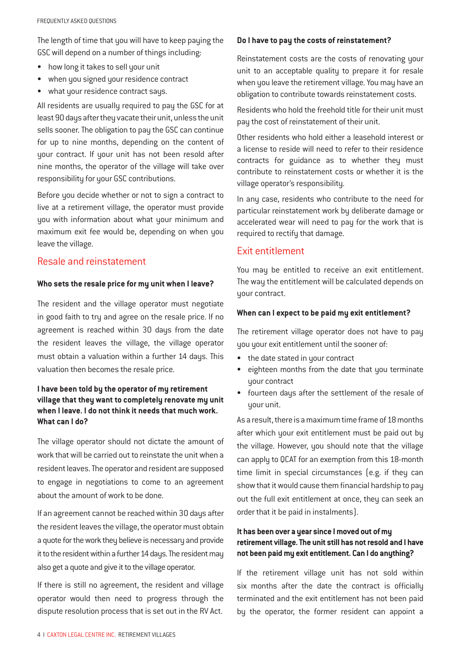The length of time that you will have to keep paying the GSC will depend on a number of things including:

- how long it takes to sell your unit
- when you signed your residence contract
- what your residence contract says.

All residents are usually required to pay the GSC for at least 90 days after they vacate their unit, unless the unit sells sooner. The obligation to pay the GSC can continue for up to nine months, depending on the content of your contract. If your unit has not been resold after nine months, the operator of the village will take over responsibility for your GSC contributions.

Before you decide whether or not to sign a contract to live at a retirement village, the operator must provide you with information about what your minimum and maximum exit fee would be, depending on when you leave the village.

### Resale and reinstatement

#### **Who sets the resale price for my unit when I leave?**

The resident and the village operator must negotiate in good faith to try and agree on the resale price. If no agreement is reached within 30 days from the date the resident leaves the village, the village operator must obtain a valuation within a further 14 days. This valuation then becomes the resale price.

### **I have been told by the operator of my retirement village that they want to completely renovate my unit when I leave. I do not think it needs that much work. What can I do?**

The village operator should not dictate the amount of work that will be carried out to reinstate the unit when a resident leaves. The operator and resident are supposed to engage in negotiations to come to an agreement about the amount of work to be done.

If an agreement cannot be reached within 30 days after the resident leaves the village, the operator must obtain a quote for the work they believe is necessary and provide it to the resident within a further 14 days. The resident may also get a quote and give it to the village operator.

If there is still no agreement, the resident and village operator would then need to progress through the dispute resolution process that is set out in the RV Act.

#### **Do I have to pay the costs of reinstatement?**

Reinstatement costs are the costs of renovating your unit to an acceptable quality to prepare it for resale when you leave the retirement village. You may have an obligation to contribute towards reinstatement costs.

Residents who hold the freehold title for their unit must pay the cost of reinstatement of their unit.

Other residents who hold either a leasehold interest or a license to reside will need to refer to their residence contracts for guidance as to whether they must contribute to reinstatement costs or whether it is the village operator's responsibility.

In any case, residents who contribute to the need for particular reinstatement work by deliberate damage or accelerated wear will need to pay for the work that is required to rectify that damage.

### Exit entitlement

You may be entitled to receive an exit entitlement. The way the entitlement will be calculated depends on your contract.

#### **When can I expect to be paid my exit entitlement?**

The retirement village operator does not have to pay you your exit entitlement until the sooner of:

- the date stated in your contract
- eighteen months from the date that you terminate your contract
- fourteen days after the settlement of the resale of your unit.

As a result, there is a maximum time frame of 18 months after which your exit entitlement must be paid out by the village. However, you should note that the village can apply to QCAT for an exemption from this 18-month time limit in special circumstances (e.g. if they can show that it would cause them financial hardship to pay out the full exit entitlement at once, they can seek an order that it be paid in instalments).

### **It has been over a year since I moved out of my retirement village. The unit still has not resold and I have not been paid my exit entitlement. Can I do anything?**

If the retirement village unit has not sold within six months after the date the contract is officially terminated and the exit entitlement has not been paid by the operator, the former resident can appoint a